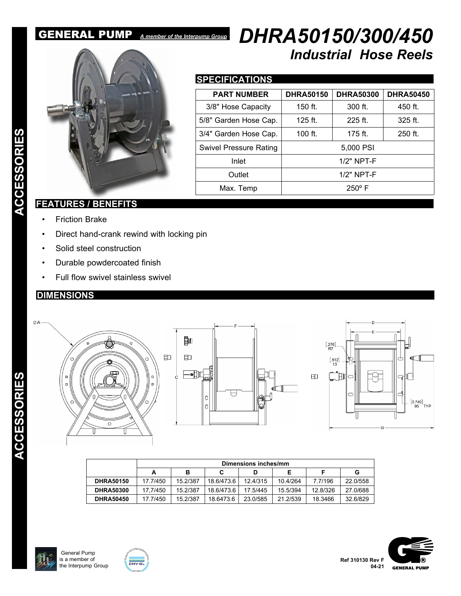# GENERAL PUMP *A member of the Interpump Group*



# *DHRA50150/300/450 Industrial Hose Reels*

# **SPECIFICATIONS**

| <b>PART NUMBER</b>            | <b>DHRA50150</b> | <b>DHRA50300</b> | <b>DHRA50450</b> |
|-------------------------------|------------------|------------------|------------------|
| 3/8" Hose Capacity            | $150$ ft.        | 300 ft.          | 450 ft.          |
| 5/8" Garden Hose Cap.         | $125$ ft.        | $225$ ft.        | $325$ ft.        |
| 3/4" Garden Hose Cap.         | 100 ft.          | 175 ft.          | 250 ft.          |
| <b>Swivel Pressure Rating</b> |                  | 5,000 PSI        |                  |
| Inlet                         |                  | $1/2"$ NPT-F     |                  |
| Outlet                        |                  | $1/2"$ NPT-F     |                  |
| Max. Temp                     |                  | $250^{\circ}$ F  |                  |

# **FEATURES / BENEFITS**

- Friction Brake
- Direct hand-crank rewind with locking pin
- Solid steel construction
- Durable powdercoated finish
- Full flow swivel stainless swivel

# **DIMENSIONS**



|                  | Dimensions inches/mm |          |            |          |          |          |          |
|------------------|----------------------|----------|------------|----------|----------|----------|----------|
|                  | А                    | в        | С          | D        |          |          | G        |
| <b>DHRA50150</b> | 17.7/450             | 15.2/387 | 18.6/473.6 | 12.4/315 | 10.4/264 | 7.7/196  | 22.0/558 |
| <b>DHRA50300</b> | 17.7/450             | 15.2/387 | 18.6/473.6 | 17.5/445 | 15.5/394 | 12.8/326 | 27.0/688 |
| <b>DHRA50450</b> | 17.7/450             | 15.2/387 | 18 6473 6  | 23 0/585 | 21.2/539 | 18.3466  | 32.6/829 |





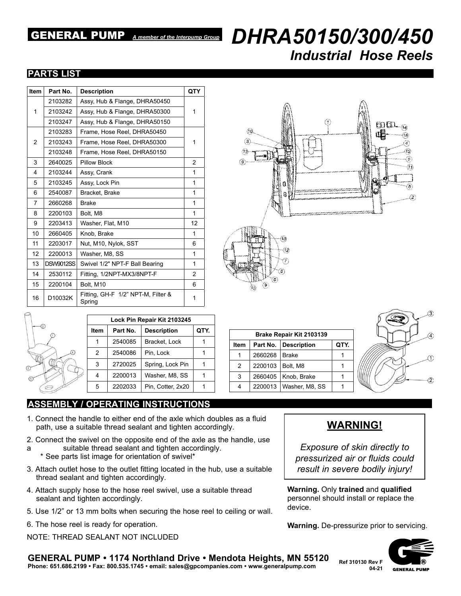# GENERAL PUMP *A member of the Interpump Group*  $DHRA50150/300/450$ *Industrial Hose Reels*

### **PARTS LIST**

| <b>Item</b> | Part No.                               | <b>Description</b>                           | QTY |
|-------------|----------------------------------------|----------------------------------------------|-----|
| 1           | 2103282                                | Assy, Hub & Flange, DHRA50450                |     |
|             | 2103242                                | Assy, Hub & Flange, DHRA50300                | 1   |
|             | 2103247                                | Assy, Hub & Flange, DHRA50150                |     |
| 2           | 2103283                                | Frame, Hose Reel, DHRA50450                  |     |
|             | 2103243                                | Frame, Hose Reel, DHRA50300                  | 1   |
|             | 2103248<br>Frame, Hose Reel, DHRA50150 |                                              |     |
| 3           | 2640025                                | <b>Pillow Block</b>                          | 2   |
| 4           | 2103244                                | Assy, Crank                                  | 1   |
| 5           | 2103245                                | Assy, Lock Pin                               | 1   |
| 6           | 2540087                                | Bracket, Brake                               | 1   |
| 7           | 2660268                                | <b>Brake</b>                                 | 1   |
| 8           | 2200103                                | Bolt, M8                                     | 1   |
| 9           | 2203413                                | Washer, Flat, M10                            | 12  |
| 10          | 2660405                                | Knob, Brake                                  | 1   |
| 11          | 2203017                                | Nut, M10, Nylok, SST                         | 6   |
| 12          | 2200013                                | Washer, M8, SS                               | 1   |
| 13          | <b>DSW9012SS</b>                       | Swivel 1/2" NPT-F Ball Bearing               | 1   |
| 14          | 2530112                                | Fitting, 1/2NPT-MX3/8NPT-F                   | 2   |
| 15          | 2200104                                | Bolt, M10                                    | 6   |
| 16          | D10032K                                | Fitting, GH-F 1/2" NPT-M, Filter &<br>Spring | 1   |



|                  | Lock Pin Repair Kit 2103245 |          |                    |      |  |  |
|------------------|-----------------------------|----------|--------------------|------|--|--|
|                  | Item                        | Part No. | <b>Description</b> | QTY. |  |  |
|                  |                             | 2540085  | Bracket, Lock      |      |  |  |
|                  | $\mathcal{P}$               | 2540086  | Pin, Lock          |      |  |  |
|                  | 3                           | 2720025  | Spring, Lock Pin   |      |  |  |
| $\left(5\right)$ |                             | 2200013  | Washer, M8, SS     |      |  |  |
|                  | 5                           | 2202033  | Pin, Cotter, 2x20  |      |  |  |
|                  |                             |          |                    |      |  |  |

### **ASSEMBLY / OPERATING INSTRUCTIONS**

- 1. Connect the handle to either end of the axle which doubles as a fluid path, use a suitable thread sealant and tighten accordingly.
- 2. Connect the swivel on the opposite end of the axle as the handle, use
- a suitable thread sealant and tighten accordingly.
- \* See parts list image for orientation of swivel\*
- 3. Attach outlet hose to the outlet fitting located in the hub, use a suitable thread sealant and tighten accordingly.
- 4. Attach supply hose to the hose reel swivel, use a suitable thread sealant and tighten accordingly.
- 5. Use 1/2" or 13 mm bolts when securing the hose reel to ceiling or wall.
- 6. The hose reel is ready for operation.
- NOTE: THREAD SEALANT NOT INCLUDED

# **Brake Repair Kit 2103139 Item Part No. Description QTY.** 1 2660268 Brake 1 2 2200103 Bolt, M8 1 3 2660405 Knob, Brake 1 4 2200013 Washer, M8, SS 1



# **WARNING!**

*Exposure of skin directly to pressurized air or fluids could result in severe bodily injury!*

**Warning.** Only **trained** and **qualified** personnel should install or replace the device.

**Warning.** De-pressurize prior to servicing.



#### **GENERAL PUMP • 1174 Northland Drive • Mendota Heights, MN 55120 Phone: 651.686.2199 • Fax: 800.535.1745 • email: sales@gpcompanies.com • www.generalpump.com Ref 310130 Rev F**

**04-21**